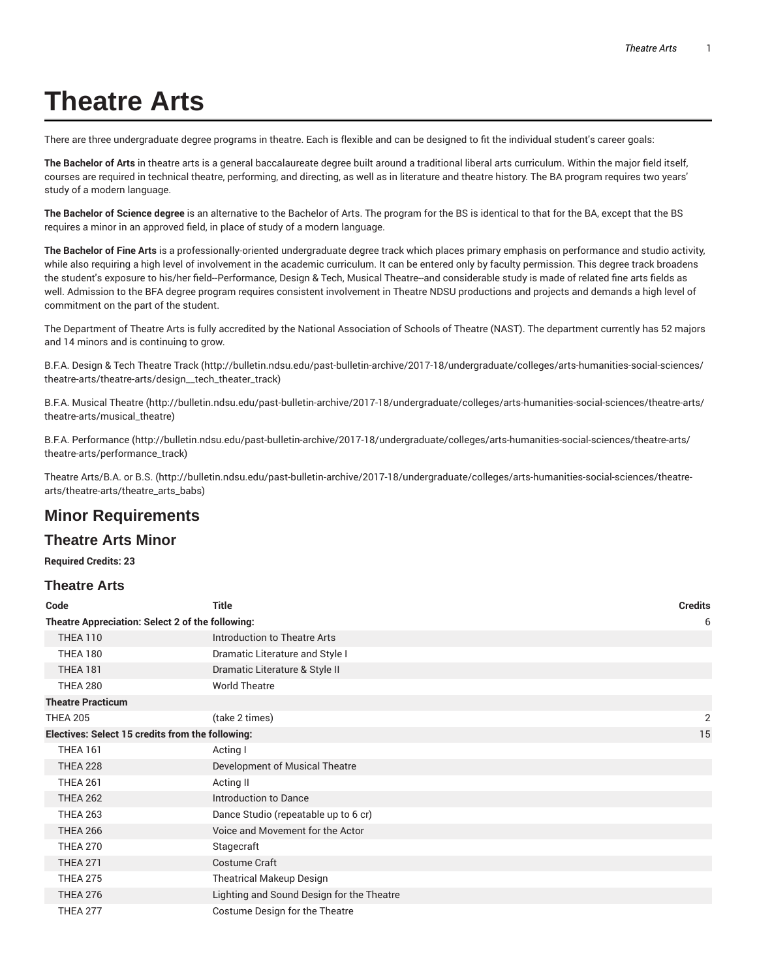# **Theatre Arts**

There are three undergraduate degree programs in theatre. Each is flexible and can be designed to fit the individual student's career goals:

**The Bachelor of Arts** in theatre arts is a general baccalaureate degree built around a traditional liberal arts curriculum. Within the major field itself, courses are required in technical theatre, performing, and directing, as well as in literature and theatre history. The BA program requires two years' study of a modern language.

**The Bachelor of Science degree** is an alternative to the Bachelor of Arts. The program for the BS is identical to that for the BA, except that the BS requires a minor in an approved field, in place of study of a modern language.

**The Bachelor of Fine Arts** is a professionally-oriented undergraduate degree track which places primary emphasis on performance and studio activity, while also requiring a high level of involvement in the academic curriculum. It can be entered only by faculty permission. This degree track broadens the student's exposure to his/her field--Performance, Design & Tech, Musical Theatre--and considerable study is made of related fine arts fields as well. Admission to the BFA degree program requires consistent involvement in Theatre NDSU productions and projects and demands a high level of commitment on the part of the student.

The Department of Theatre Arts is fully accredited by the National Association of Schools of Theatre (NAST). The department currently has 52 majors and 14 minors and is continuing to grow.

B.F.A. Design & Tech Theatre Track (http://bulletin.ndsu.edu/past-bulletin-archive/2017-18/undergraduate/colleges/arts-humanities-social-sciences/ theatre-arts/theatre-arts/design\_\_tech\_theater\_track)

B.F.A. Musical Theatre (http://bulletin.ndsu.edu/past-bulletin-archive/2017-18/undergraduate/colleges/arts-humanities-social-sciences/theatre-arts/ theatre-arts/musical\_theatre)

B.F.A. Performance (http://bulletin.ndsu.edu/past-bulletin-archive/2017-18/undergraduate/colleges/arts-humanities-social-sciences/theatre-arts/ theatre-arts/performance\_track)

Theatre Arts/B.A. or B.S. (http://bulletin.ndsu.edu/past-bulletin-archive/2017-18/undergraduate/colleges/arts-humanities-social-sciences/theatrearts/theatre-arts/theatre\_arts\_babs)

# **Minor Requirements**

#### **Theatre Arts Minor**

**Required Credits: 23**

#### **Theatre Arts**

| Code                                             | <b>Title</b>                              | <b>Credits</b> |
|--------------------------------------------------|-------------------------------------------|----------------|
| Theatre Appreciation: Select 2 of the following: |                                           |                |
| <b>THEA 110</b>                                  | Introduction to Theatre Arts              |                |
| <b>THEA 180</b>                                  | Dramatic Literature and Style I           |                |
| <b>THEA 181</b>                                  | Dramatic Literature & Style II            |                |
| <b>THEA 280</b>                                  | <b>World Theatre</b>                      |                |
| <b>Theatre Practicum</b>                         |                                           |                |
| <b>THEA 205</b>                                  | (take 2 times)                            | 2              |
| Electives: Select 15 credits from the following: |                                           | 15             |
| <b>THEA 161</b>                                  | Acting I                                  |                |
| <b>THEA 228</b>                                  | Development of Musical Theatre            |                |
| <b>THEA 261</b>                                  | Acting II                                 |                |
| <b>THEA 262</b>                                  | Introduction to Dance                     |                |
| <b>THEA 263</b>                                  | Dance Studio (repeatable up to 6 cr)      |                |
| <b>THEA 266</b>                                  | Voice and Movement for the Actor          |                |
| <b>THEA 270</b>                                  | Stagecraft                                |                |
| <b>THEA 271</b>                                  | <b>Costume Craft</b>                      |                |
| <b>THEA 275</b>                                  | <b>Theatrical Makeup Design</b>           |                |
| <b>THEA 276</b>                                  | Lighting and Sound Design for the Theatre |                |
| <b>THEA 277</b>                                  | Costume Design for the Theatre            |                |